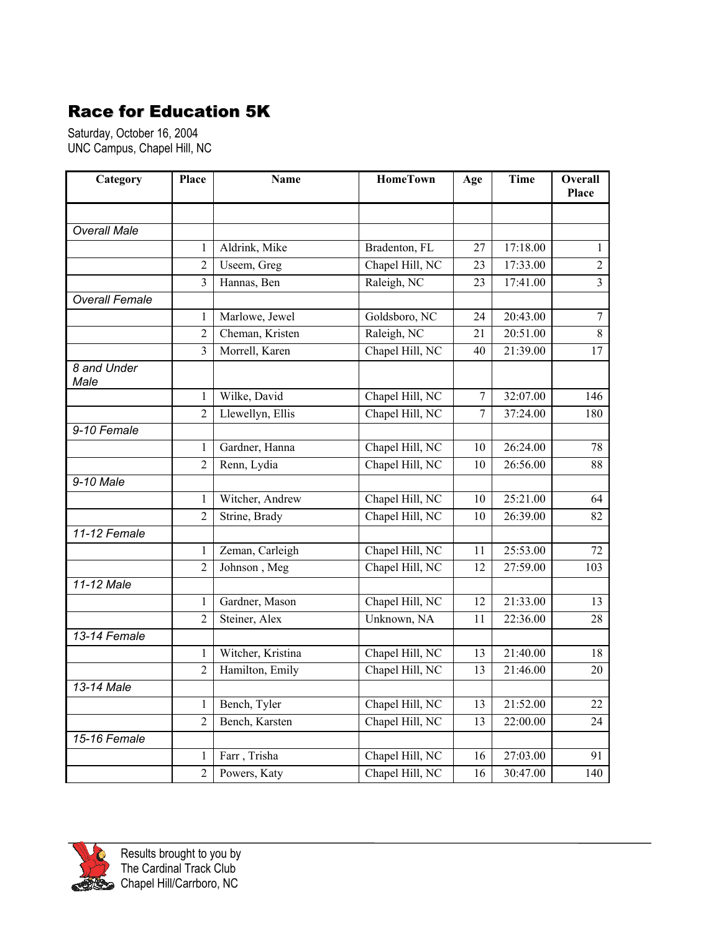## Race for Education 5K

Saturday, October 16, 2004 UNC Campus, Chapel Hill, NC

| Category              | Place                   | <b>Name</b>       | <b>HomeTown</b> | Age             | <b>Time</b> | <b>Overall</b><br>Place |
|-----------------------|-------------------------|-------------------|-----------------|-----------------|-------------|-------------------------|
|                       |                         |                   |                 |                 |             |                         |
| <b>Overall Male</b>   |                         |                   |                 |                 |             |                         |
|                       | 1                       | Aldrink, Mike     | Bradenton, FL   | 27              | 17:18.00    | $\mathbf{1}$            |
|                       | $\overline{2}$          | Useem, Greg       | Chapel Hill, NC | 23              | 17:33.00    | $\overline{2}$          |
|                       | $\overline{3}$          | Hannas, Ben       | Raleigh, NC     | 23              | 17:41.00    | $\overline{3}$          |
| <b>Overall Female</b> |                         |                   |                 |                 |             |                         |
|                       | 1                       | Marlowe, Jewel    | Goldsboro, NC   | 24              | 20:43.00    | $\overline{7}$          |
|                       | $\overline{2}$          | Cheman, Kristen   | Raleigh, NC     | 21              | 20:51.00    | $\overline{8}$          |
|                       | $\overline{\mathbf{3}}$ | Morrell, Karen    | Chapel Hill, NC | 40              | 21:39.00    | 17                      |
| 8 and Under<br>Male   |                         |                   |                 |                 |             |                         |
|                       | $\mathbf{1}$            | Wilke, David      | Chapel Hill, NC | 7               | 32:07.00    | 146                     |
|                       | $\overline{2}$          | Llewellyn, Ellis  | Chapel Hill, NC | 7               | 37:24.00    | 180                     |
| 9-10 Female           |                         |                   |                 |                 |             |                         |
|                       | 1                       | Gardner, Hanna    | Chapel Hill, NC | 10              | 26:24.00    | 78                      |
|                       | $\overline{2}$          | Renn, Lydia       | Chapel Hill, NC | 10              | 26:56.00    | 88                      |
| 9-10 Male             |                         |                   |                 |                 |             |                         |
|                       | 1                       | Witcher, Andrew   | Chapel Hill, NC | 10              | 25:21.00    | 64                      |
|                       | $\overline{2}$          | Strine, Brady     | Chapel Hill, NC | 10              | 26:39.00    | $\overline{82}$         |
| 11-12 Female          |                         |                   |                 |                 |             |                         |
|                       | $\mathbf{1}$            | Zeman, Carleigh   | Chapel Hill, NC | 11              | 25:53.00    | 72                      |
|                       | $\overline{2}$          | Johnson, Meg      | Chapel Hill, NC | 12              | 27:59.00    | 103                     |
| 11-12 Male            |                         |                   |                 |                 |             |                         |
|                       | 1                       | Gardner, Mason    | Chapel Hill, NC | 12              | 21:33.00    | 13                      |
|                       | $\overline{2}$          | Steiner, Alex     | Unknown, NA     | 11              | 22:36.00    | 28                      |
| 13-14 Female          |                         |                   |                 |                 |             |                         |
|                       | 1                       | Witcher, Kristina | Chapel Hill, NC | 13              | 21:40.00    | 18                      |
|                       | $\overline{2}$          | Hamilton, Emily   | Chapel Hill, NC | $\overline{13}$ | 21:46.00    | $\overline{20}$         |
| 13-14 Male            |                         |                   |                 |                 |             |                         |
|                       | 1                       | Bench, Tyler      | Chapel Hill, NC | 13              | 21:52.00    | 22                      |
|                       | $\overline{2}$          | Bench, Karsten    | Chapel Hill, NC | 13              | 22:00.00    | 24                      |
| 15-16 Female          |                         |                   |                 |                 |             |                         |
|                       | $\mathbf{1}$            | Farr, Trisha      | Chapel Hill, NC | 16              | 27:03.00    | 91                      |
|                       | $\overline{2}$          | Powers, Katy      | Chapel Hill, NC | 16              | 30:47.00    | 140                     |